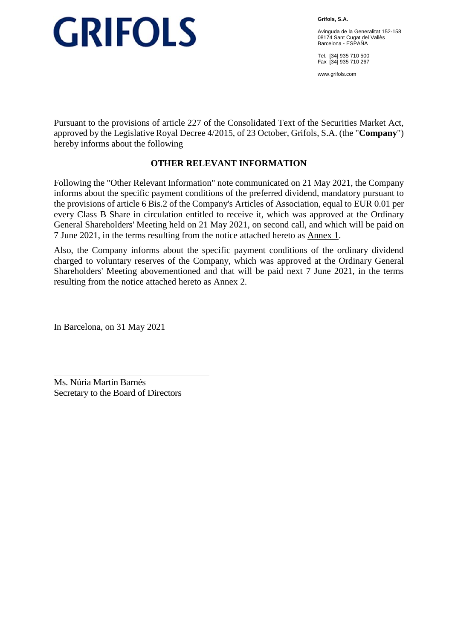**Grifols, S.A.** 

Avinguda de la Generalitat 152-158 08174 Sant Cugat del Vallès Barcelona - ESPAÑA

Tel. [34] 935 710 500 Fax [34] 935 710 267

www.grifols.com

Pursuant to the provisions of article 227 of the Consolidated Text of the Securities Market Act, approved by the Legislative Royal Decree 4/2015, of 23 October, Grifols, S.A. (the "**Company**") hereby informs about the following

#### **OTHER RELEVANT INFORMATION**

Following the "Other Relevant Information" note communicated on 21 May 2021, the Company informs about the specific payment conditions of the preferred dividend, mandatory pursuant to the provisions of article 6 Bis.2 of the Company's Articles of Association, equal to EUR 0.01 per every Class B Share in circulation entitled to receive it, which was approved at the Ordinary General Shareholders' Meeting held on 21 May 2021, on second call, and which will be paid on 7 June 2021, in the terms resulting from the notice attached hereto as Annex 1.

Also, the Company informs about the specific payment conditions of the ordinary dividend charged to voluntary reserves of the Company, which was approved at the Ordinary General Shareholders' Meeting abovementioned and that will be paid next 7 June 2021, in the terms resulting from the notice attached hereto as Annex 2.

In Barcelona, on 31 May 2021

Ms. Núria Martín Barnés Secretary to the Board of Directors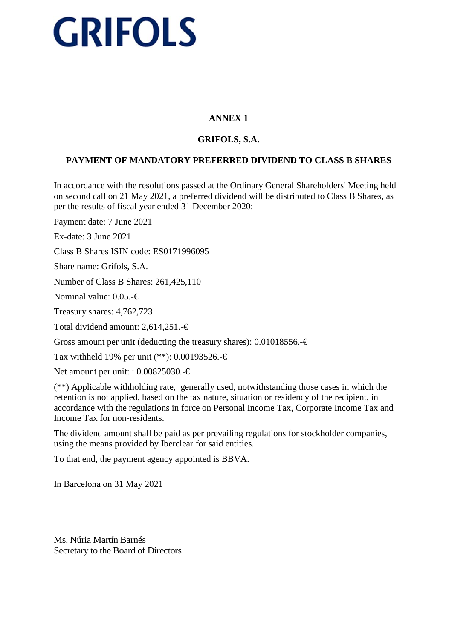### **ANNEX 1**

### **GRIFOLS, S.A.**

### **PAYMENT OF MANDATORY PREFERRED DIVIDEND TO CLASS B SHARES**

In accordance with the resolutions passed at the Ordinary General Shareholders' Meeting held on second call on 21 May 2021, a preferred dividend will be distributed to Class B Shares, as per the results of fiscal year ended 31 December 2020:

Payment date: 7 June 2021

Ex-date: 3 June 2021

Class B Shares ISIN code: ES0171996095

Share name: Grifols, S.A.

Number of Class B Shares: 261,425,110

Nominal value: 0.05.-€

Treasury shares: 4,762,723

Total dividend amount: 2,614,251.-€

Gross amount per unit (deducting the treasury shares):  $0.01018556. \in \mathbb{C}$ 

Tax withheld 19% per unit (\*\*): 0.00193526.-€

Net amount per unit: : 0.00825030.-€

(\*\*) Applicable withholding rate, generally used, notwithstanding those cases in which the retention is not applied, based on the tax nature, situation or residency of the recipient, in accordance with the regulations in force on Personal Income Tax, Corporate Income Tax and Income Tax for non-residents.

The dividend amount shall be paid as per prevailing regulations for stockholder companies, using the means provided by Iberclear for said entities.

To that end, the payment agency appointed is BBVA.

In Barcelona on 31 May 2021

Ms. Núria Martín Barnés Secretary to the Board of Directors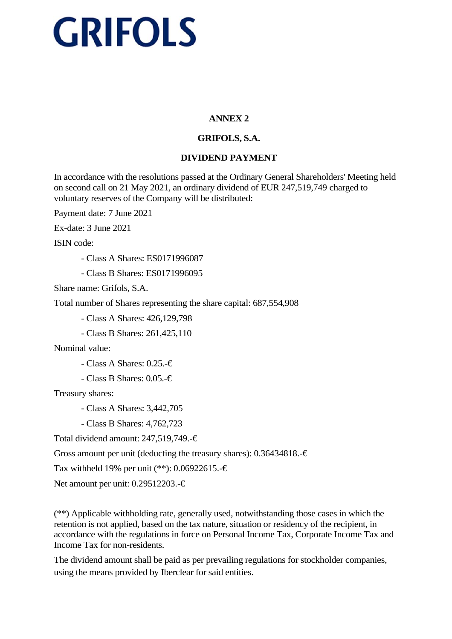#### **ANNEX 2**

### **GRIFOLS, S.A.**

#### **DIVIDEND PAYMENT**

In accordance with the resolutions passed at the Ordinary General Shareholders' Meeting held on second call on 21 May 2021, an ordinary dividend of EUR 247,519,749 charged to voluntary reserves of the Company will be distributed:

Payment date: 7 June 2021

Ex-date: 3 June 2021

ISIN code:

- Class A Shares: ES0171996087

- Class B Shares: ES0171996095

Share name: Grifols, S.A.

Total number of Shares representing the share capital: 687,554,908

- Class A Shares: 426,129,798

- Class B Shares: 261,425,110

Nominal value:

- Class A Shares: 0.25.-€

- Class B Shares: 0.05.-€

Treasury shares:

- Class A Shares: 3,442,705

- Class B Shares: 4,762,723

Total dividend amount: 247,519,749.-€

Gross amount per unit (deducting the treasury shares):  $0.36434818. - \epsilon$ 

Tax withheld 19% per unit (\*\*): 0.06922615.-€

Net amount per unit: 0.29512203.-€

(\*\*) Applicable withholding rate, generally used, notwithstanding those cases in which the retention is not applied, based on the tax nature, situation or residency of the recipient, in accordance with the regulations in force on Personal Income Tax, Corporate Income Tax and Income Tax for non-residents.

The dividend amount shall be paid as per prevailing regulations for stockholder companies, using the means provided by Iberclear for said entities.